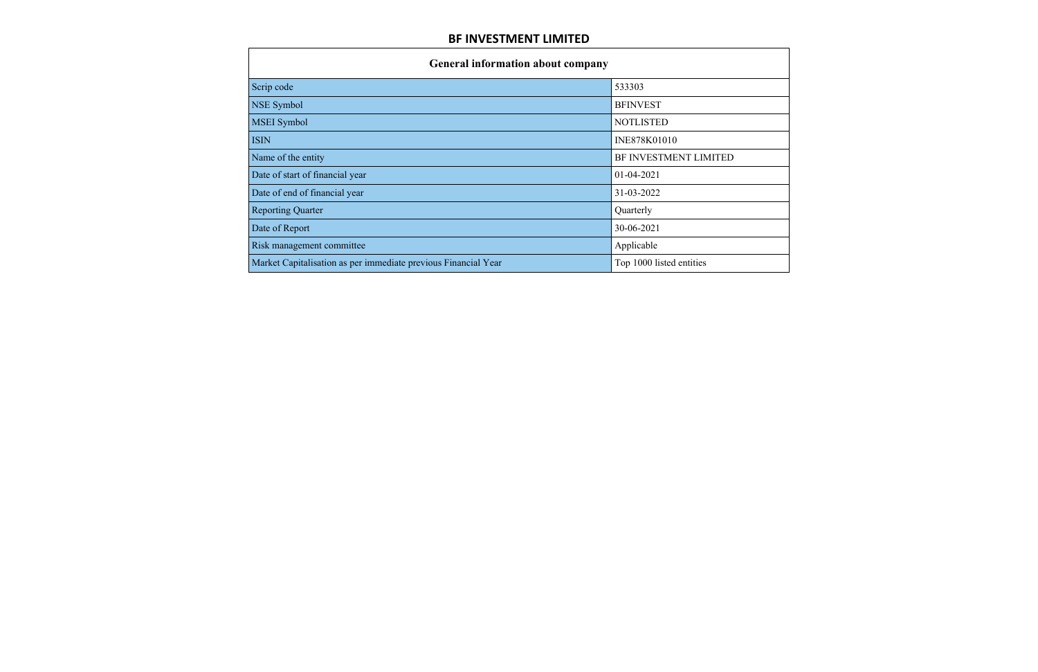| <b>General information about company</b>                       |                          |  |  |  |  |  |  |
|----------------------------------------------------------------|--------------------------|--|--|--|--|--|--|
| Scrip code                                                     | 533303                   |  |  |  |  |  |  |
| NSE Symbol                                                     | <b>BFINVEST</b>          |  |  |  |  |  |  |
| <b>MSEI</b> Symbol                                             | <b>NOTLISTED</b>         |  |  |  |  |  |  |
| <b>ISIN</b>                                                    | INE878K01010             |  |  |  |  |  |  |
| Name of the entity                                             | BF INVESTMENT LIMITED    |  |  |  |  |  |  |
| Date of start of financial year                                | 01-04-2021               |  |  |  |  |  |  |
| Date of end of financial year                                  | 31-03-2022               |  |  |  |  |  |  |
| <b>Reporting Quarter</b>                                       | Quarterly                |  |  |  |  |  |  |
| Date of Report                                                 | 30-06-2021               |  |  |  |  |  |  |
| Risk management committee                                      | Applicable               |  |  |  |  |  |  |
| Market Capitalisation as per immediate previous Financial Year | Top 1000 listed entities |  |  |  |  |  |  |

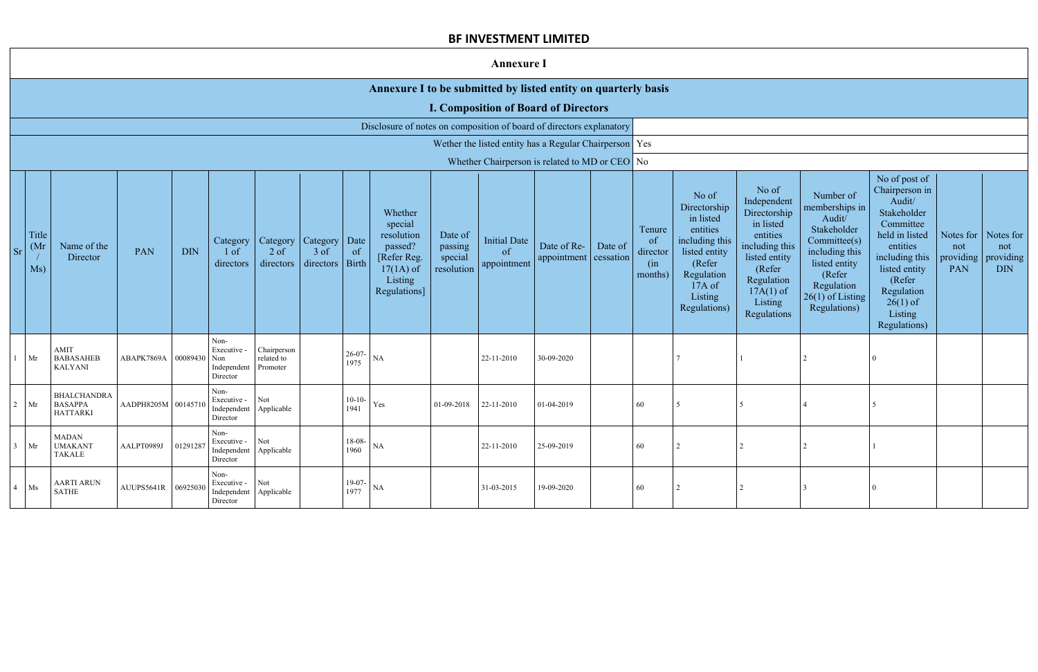$\mathbf{1}$ 

|                |                      |                                                         |                                                                                      |            |                                                                       |                                       |                                 |                      |                                                                                                      |                                             | <b>Annexure I</b>                        |                                                        |         |                                            |                                                                                                                                                |                                                                                                                                                                   |                                                                                                                                                                       |                                                                                                                                                                                                         |            |                                                                 |
|----------------|----------------------|---------------------------------------------------------|--------------------------------------------------------------------------------------|------------|-----------------------------------------------------------------------|---------------------------------------|---------------------------------|----------------------|------------------------------------------------------------------------------------------------------|---------------------------------------------|------------------------------------------|--------------------------------------------------------|---------|--------------------------------------------|------------------------------------------------------------------------------------------------------------------------------------------------|-------------------------------------------------------------------------------------------------------------------------------------------------------------------|-----------------------------------------------------------------------------------------------------------------------------------------------------------------------|---------------------------------------------------------------------------------------------------------------------------------------------------------------------------------------------------------|------------|-----------------------------------------------------------------|
|                |                      |                                                         |                                                                                      |            |                                                                       |                                       |                                 |                      | Annexure I to be submitted by listed entity on quarterly basis                                       |                                             |                                          |                                                        |         |                                            |                                                                                                                                                |                                                                                                                                                                   |                                                                                                                                                                       |                                                                                                                                                                                                         |            |                                                                 |
|                |                      |                                                         |                                                                                      |            |                                                                       |                                       |                                 |                      |                                                                                                      |                                             |                                          | <b>I. Composition of Board of Directors</b>            |         |                                            |                                                                                                                                                |                                                                                                                                                                   |                                                                                                                                                                       |                                                                                                                                                                                                         |            |                                                                 |
|                |                      |                                                         |                                                                                      |            |                                                                       |                                       |                                 |                      | Disclosure of notes on composition of board of directors explanatory                                 |                                             |                                          |                                                        |         |                                            |                                                                                                                                                |                                                                                                                                                                   |                                                                                                                                                                       |                                                                                                                                                                                                         |            |                                                                 |
|                |                      |                                                         |                                                                                      |            |                                                                       |                                       |                                 |                      |                                                                                                      |                                             |                                          | Wether the listed entity has a Regular Chairperson Yes |         |                                            |                                                                                                                                                |                                                                                                                                                                   |                                                                                                                                                                       |                                                                                                                                                                                                         |            |                                                                 |
|                |                      |                                                         |                                                                                      |            |                                                                       |                                       |                                 |                      |                                                                                                      |                                             |                                          | Whether Chairperson is related to MD or CEO No         |         |                                            |                                                                                                                                                |                                                                                                                                                                   |                                                                                                                                                                       |                                                                                                                                                                                                         |            |                                                                 |
|                | Title<br>(Mr)<br>Ms) | Name of the<br>Director                                 | PAN                                                                                  | <b>DIN</b> | Category<br>$1$ of<br>directors                                       | Category<br>$2$ of<br>directors       | Category<br>$3$ of<br>directors | Date<br>of<br>Birth  | Whether<br>special<br>resolution<br>passed?<br>[Refer Reg.<br>$17(1A)$ of<br>Listing<br>Regulations] | Date of<br>passing<br>special<br>resolution | <b>Initial Date</b><br>of<br>appointment | Date of Re-<br>appointment cessation                   | Date of | Tenure<br>of<br>director<br>(in<br>months) | No of<br>Directorship<br>in listed<br>entities<br>including this<br>listed entity<br>(Refer<br>Regulation<br>17A of<br>Listing<br>Regulations) | No of<br>Independent<br>Directorship<br>in listed<br>entities<br>including this<br>listed entity<br>(Refer<br>Regulation<br>$17A(1)$ of<br>Listing<br>Regulations | Number of<br>memberships in<br>Audit/<br>Stakeholder<br>Committee(s)<br>including this<br>listed entity<br>(Refer<br>Regulation<br>$26(1)$ of Listing<br>Regulations) | No of post of<br>Chairperson in<br>Audit/<br>Stakeholder<br>Committee<br>held in listed<br>entities<br>including this<br>listed entity<br>(Refer<br>Regulation<br>$26(1)$ of<br>Listing<br>Regulations) | not<br>PAN | Notes for Notes for<br>not<br>providing providing<br><b>DIN</b> |
|                | Mr                   | <b>AMIT</b><br><b>BABASAHEB</b><br><b>KALYANI</b>       | ABAPK7869A 00089430                                                                  |            | Non-<br>Executive -<br>Non<br>Independent<br>Director                 | Chairperson<br>related to<br>Promoter |                                 | $26-07-$<br>1975     | NA                                                                                                   |                                             | 22-11-2010                               | 30-09-2020                                             |         |                                            |                                                                                                                                                |                                                                                                                                                                   |                                                                                                                                                                       |                                                                                                                                                                                                         |            |                                                                 |
| $\overline{2}$ | Mr                   | <b>BHALCHANDRA</b><br><b>BASAPPA</b><br><b>HATTARKI</b> | AADPH8205M 00145710                                                                  |            | Non-<br>Executive -<br>Independent<br>Director                        | Not<br>Applicable                     |                                 | $10-10-$<br>1941     | Yes                                                                                                  | 01-09-2018                                  | 22-11-2010                               | 01-04-2019                                             |         | 60                                         |                                                                                                                                                |                                                                                                                                                                   |                                                                                                                                                                       |                                                                                                                                                                                                         |            |                                                                 |
| 3              | Mr                   | <b>MADAN</b><br><b>UMAKANT</b><br><b>TAKALE</b>         | AALPT0989J $\Big  01291287 \Big  \frac{\text{Execute}}{\text{L.1}} \Big  \text{Not}$ |            | Non-<br>Independent Applicable<br>Director                            |                                       |                                 | $18-08$ - NA<br>1960 |                                                                                                      |                                             | 22-11-2010                               | 25-09-2019                                             |         | 60                                         |                                                                                                                                                |                                                                                                                                                                   |                                                                                                                                                                       |                                                                                                                                                                                                         |            |                                                                 |
|                | 4 Ms                 | <b>AARTI ARUN</b><br>SATHE                              | AUUPS5641R 06925030                                                                  |            | Non-<br>Executive - $\vert$ Not<br>Independent Applicable<br>Director |                                       |                                 | 19-07-<br>1977       | $\rm NA$                                                                                             |                                             | 31-03-2015                               | 19-09-2020                                             |         | 60                                         |                                                                                                                                                |                                                                                                                                                                   |                                                                                                                                                                       | $\theta$                                                                                                                                                                                                |            |                                                                 |

2 Mr

 $3<sup>1</sup>$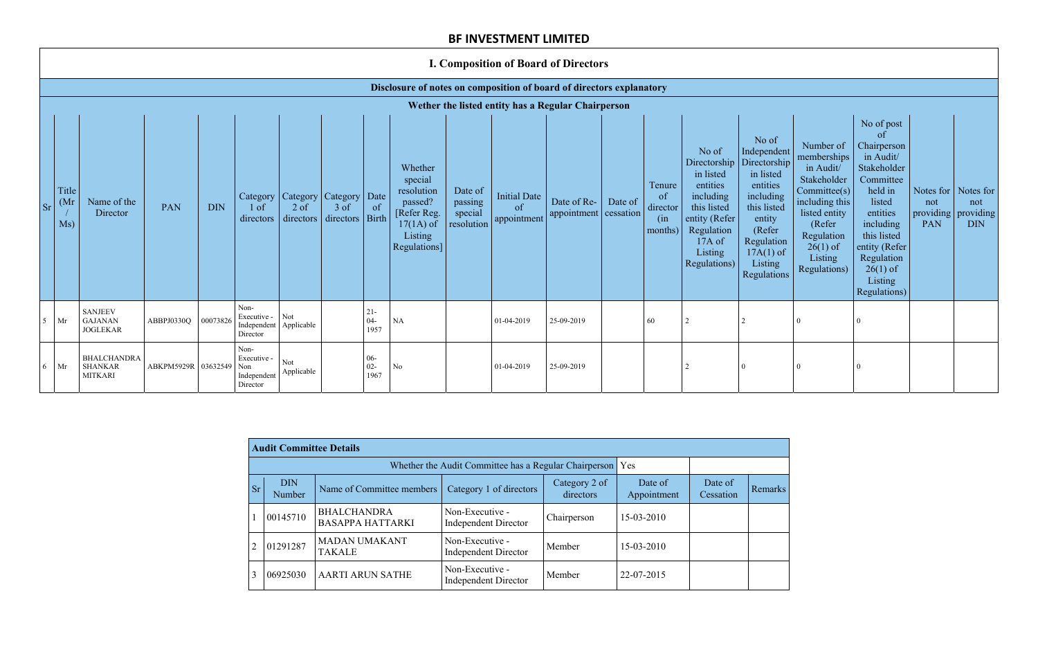# **I. Composition of Board of Directors**

## **Disclosure of notes on composition of board of directors explanatory**

|                | Wether the listed entity has a Regular Chairperson |                                                        |                     |            |                                                                  |                     |                                                           |                          |                                                                                                               |                                             |                                   |                                      |         |                                                       |                                                                                                                                                |                                                                                                                                                                             |                                                                                                                                                                          |                                                                                                                                                                                                               |                                                                          |                   |
|----------------|----------------------------------------------------|--------------------------------------------------------|---------------------|------------|------------------------------------------------------------------|---------------------|-----------------------------------------------------------|--------------------------|---------------------------------------------------------------------------------------------------------------|---------------------------------------------|-----------------------------------|--------------------------------------|---------|-------------------------------------------------------|------------------------------------------------------------------------------------------------------------------------------------------------|-----------------------------------------------------------------------------------------------------------------------------------------------------------------------------|--------------------------------------------------------------------------------------------------------------------------------------------------------------------------|---------------------------------------------------------------------------------------------------------------------------------------------------------------------------------------------------------------|--------------------------------------------------------------------------|-------------------|
| <b>Sr</b>      | Title<br>(Mr)<br>Ms)                               | Name of the<br>Director                                | <b>PAN</b>          | <b>DIN</b> | 1 of<br>directors                                                | $2$ of<br>directors | Category   Category   Category<br>3 of<br>directors Birth | $\vert$ Date<br>of       | Whether<br>special<br>resolution<br>passed?<br>[Refer Reg.]<br>$17(1A)$ of<br>Listing<br><b>Regulations</b> ] | Date of<br>passing<br>special<br>resolution | Initial Date<br>of<br>appointment | Date of Re-<br>appointment cessation | Date of | Tenure<br><sub>of</sub><br>director<br>(n)<br>months) | No of<br>Directorship<br>in listed<br>entities<br>including<br>this listed<br>entity (Refer<br>Regulation<br>17A of<br>Listing<br>Regulations) | No of<br>Independent<br>Directorship<br>in listed<br>entities<br>including<br>this listed<br>entity<br>(Refer<br>Regulation<br>$17A(1)$ of<br>Listing<br><b>Regulations</b> | Number of<br>memberships<br>in Audit/<br>Stakeholder<br>Committee(s)<br>including this<br>listed entity<br>(Refer<br>Regulation<br>$26(1)$ of<br>Listing<br>Regulations) | No of post<br>of<br>Chairperson<br>in Audit/<br>Stakeholder<br>Committee<br>held in<br>listed<br>entities<br>including<br>this listed<br>entity (Refer<br>Regulation<br>$26(1)$ of<br>Listing<br>Regulations) | Notes for $\vert$ Notes for<br>not<br>providing $\vert$ providing<br>PAN | not<br><b>DIN</b> |
| 5 <sup>5</sup> | Mr                                                 | <b>SANJEEV</b><br><b>GAJANAN</b><br><b>JOGLEKAR</b>    | ABBPJ0330Q          | 00073826   | Non-<br>Executive -<br>Independent Applicable<br>Director        | Not                 |                                                           | $21 -$<br>$04-$<br>1957  | $\rm NA$                                                                                                      |                                             | 01-04-2019                        | 25-09-2019                           |         | 60                                                    |                                                                                                                                                |                                                                                                                                                                             |                                                                                                                                                                          |                                                                                                                                                                                                               |                                                                          |                   |
| 6              | Mr                                                 | <b>BHALCHANDRA</b><br><b>SHANKAR</b><br><b>MITKARI</b> | ABKPM5929R 03632549 |            | Non-<br>Executive -<br>Non<br>Independent Applicable<br>Director | Not                 |                                                           | $06 -$<br>$02 -$<br>1967 | N <sub>o</sub>                                                                                                |                                             | 01-04-2019                        | 25-09-2019                           |         |                                                       |                                                                                                                                                | $\Omega$                                                                                                                                                                    |                                                                                                                                                                          |                                                                                                                                                                                                               |                                                                          |                   |

|                | <b>Audit Committee Details</b> |                                               |                                                             |                                                      |            |                      |                |
|----------------|--------------------------------|-----------------------------------------------|-------------------------------------------------------------|------------------------------------------------------|------------|----------------------|----------------|
|                |                                |                                               | Whether the Audit Committee has a Regular Chairperson   Yes |                                                      |            |                      |                |
| Sr             | <b>DIN</b><br>Number           | Name of Committee members                     | Category 1 of directors                                     | Date of<br>Category 2 of<br>directors<br>Appointment |            | Date of<br>Cessation | <b>Remarks</b> |
|                | 00145710                       | <b>BHALCHANDRA</b><br><b>BASAPPA HATTARKI</b> | Non-Executive -<br><b>Independent Director</b>              | Chairperson                                          | 15-03-2010 |                      |                |
| $\overline{2}$ | 01291287                       | <b>MADAN UMAKANT</b><br><b>TAKALE</b>         | Non-Executive -<br><b>Independent Director</b>              | Member                                               | 15-03-2010 |                      |                |
| 3              | 06925030                       | <b>AARTI ARUN SATHE</b>                       | Non-Executive -<br><b>Independent Director</b>              | Member                                               | 22-07-2015 |                      |                |

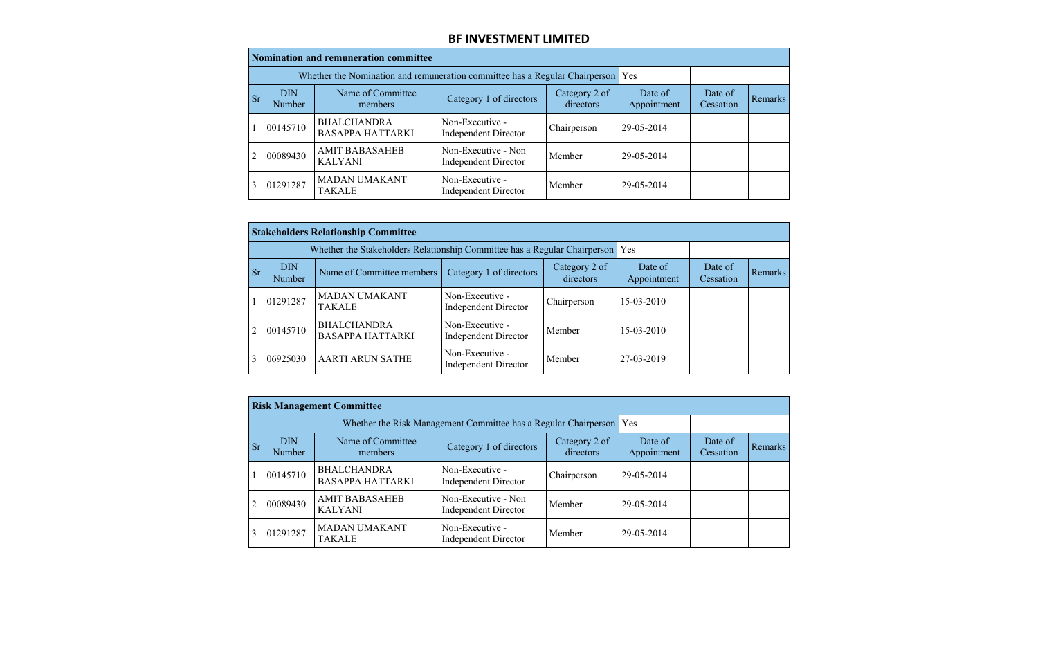|           | Nomination and remuneration committee |                                                                                 |                                                    |                            |                        |                      |         |  |  |  |  |  |
|-----------|---------------------------------------|---------------------------------------------------------------------------------|----------------------------------------------------|----------------------------|------------------------|----------------------|---------|--|--|--|--|--|
|           |                                       | Whether the Nomination and remuneration committee has a Regular Chairperson Yes |                                                    |                            |                        |                      |         |  |  |  |  |  |
| <b>Sr</b> | <b>DIN</b><br>Number                  | Name of Committee<br>members                                                    | Category 1 of directors                            | Category 2 of<br>directors | Date of<br>Appointment | Date of<br>Cessation | Remarks |  |  |  |  |  |
|           | 00145710                              | <b>BHALCHANDRA</b><br><b>BASAPPA HATTARKI</b>                                   | Non-Executive -<br><b>Independent Director</b>     | Chairperson                | 29-05-2014             |                      |         |  |  |  |  |  |
| 2         | 00089430                              | <b>AMIT BABASAHEB</b><br><b>KALYANI</b>                                         | Non-Executive - Non<br><b>Independent Director</b> | Member                     | 29-05-2014             |                      |         |  |  |  |  |  |
|           | 01291287                              | <b>MADAN UMAKANT</b><br><b>TAKALE</b>                                           | Non-Executive -<br><b>Independent Director</b>     | Member                     | 29-05-2014             |                      |         |  |  |  |  |  |

|           | <b>Stakeholders Relationship Committee</b> |                                                                               |                                                |                            |                        |                      |         |  |  |  |  |  |
|-----------|--------------------------------------------|-------------------------------------------------------------------------------|------------------------------------------------|----------------------------|------------------------|----------------------|---------|--|--|--|--|--|
|           |                                            | Whether the Stakeholders Relationship Committee has a Regular Chairperson Yes |                                                |                            |                        |                      |         |  |  |  |  |  |
| <b>Sr</b> | <b>DIN</b><br>Number                       | Name of Committee members                                                     | Category 1 of directors                        | Category 2 of<br>directors | Date of<br>Appointment | Date of<br>Cessation | Remarks |  |  |  |  |  |
|           | 01291287                                   | <b>MADAN UMAKANT</b><br><b>TAKALE</b>                                         | Non-Executive -<br><b>Independent Director</b> | Chairperson                | 15-03-2010             |                      |         |  |  |  |  |  |
| 2         | 00145710                                   | <b>BHALCHANDRA</b><br><b>BASAPPA HATTARKI</b>                                 | Non-Executive -<br><b>Independent Director</b> | Member                     | 15-03-2010             |                      |         |  |  |  |  |  |
|           | 06925030                                   | <b>AARTI ARUN SATHE</b>                                                       | Non-Executive -<br><b>Independent Director</b> | Member                     | 27-03-2019             |                      |         |  |  |  |  |  |

|           | <b>Risk Management Committee</b> |                                               |                                                                       |                            |                        |                      |                |  |  |  |  |  |
|-----------|----------------------------------|-----------------------------------------------|-----------------------------------------------------------------------|----------------------------|------------------------|----------------------|----------------|--|--|--|--|--|
|           |                                  |                                               | Whether the Risk Management Committee has a Regular Chairperson   Yes |                            |                        |                      |                |  |  |  |  |  |
| <b>Sr</b> | <b>DIN</b><br>Number             | Name of Committee<br>members                  | Category 1 of directors                                               | Category 2 of<br>directors | Date of<br>Appointment | Date of<br>Cessation | <b>Remarks</b> |  |  |  |  |  |
|           | 00145710                         | <b>BHALCHANDRA</b><br><b>BASAPPA HATTARKI</b> | Non-Executive -<br><b>Independent Director</b>                        | Chairperson                | 29-05-2014             |                      |                |  |  |  |  |  |
|           | 00089430                         | <b>AMIT BABASAHEB</b><br><b>KALYANI</b>       | Non-Executive - Non<br><b>Independent Director</b>                    | Member                     | 29-05-2014             |                      |                |  |  |  |  |  |
|           | 01291287                         | <b>MADAN UMAKANT</b><br><b>TAKALE</b>         | Non-Executive -<br><b>Independent Director</b>                        | Member                     | 29-05-2014             |                      |                |  |  |  |  |  |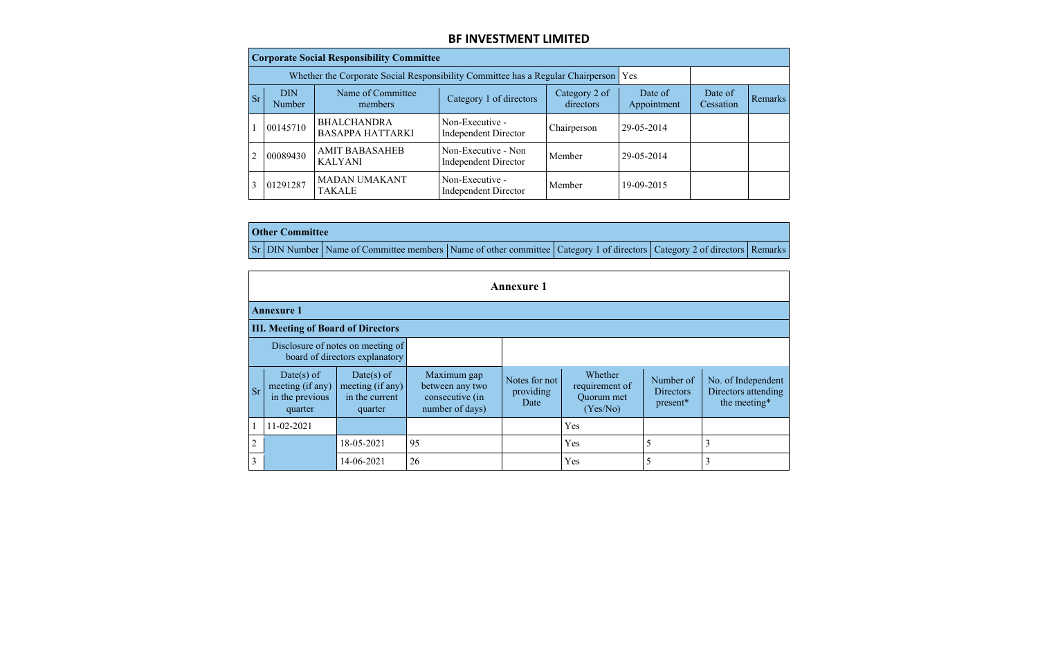|           | <b>Corporate Social Responsibility Committee</b> |                                                                                     |                                                    |                            |                        |                      |         |  |  |  |  |  |
|-----------|--------------------------------------------------|-------------------------------------------------------------------------------------|----------------------------------------------------|----------------------------|------------------------|----------------------|---------|--|--|--|--|--|
|           |                                                  | Whether the Corporate Social Responsibility Committee has a Regular Chairperson Yes |                                                    |                            |                        |                      |         |  |  |  |  |  |
| <b>Sr</b> | <b>DIN</b><br>Number                             | Name of Committee<br>members                                                        | Category 1 of directors                            | Category 2 of<br>directors | Date of<br>Appointment | Date of<br>Cessation | Remarks |  |  |  |  |  |
|           | 00145710                                         | <b>BHALCHANDRA</b><br><b>BASAPPA HATTARKI</b>                                       | Non-Executive -<br><b>Independent Director</b>     | Chairperson                | 29-05-2014             |                      |         |  |  |  |  |  |
| 2         | 00089430                                         | <b>AMIT BABASAHEB</b><br><b>KALYANI</b>                                             | Non-Executive - Non<br><b>Independent Director</b> | Member                     | 29-05-2014             |                      |         |  |  |  |  |  |
|           | 01291287                                         | <b>MADAN UMAKANT</b><br><b>TAKALE</b>                                               | Non-Executive -<br><b>Independent Director</b>     | Member                     | 19-09-2015             |                      |         |  |  |  |  |  |

 $\mathcal{L}$ 

|  | <b>Other Committee</b> |                                                                                                                         |  |  |
|--|------------------------|-------------------------------------------------------------------------------------------------------------------------|--|--|
|  |                        | Sr DIN Number Name of Committee members Name of other committee Category 1 of directors Category 2 of directors Remarks |  |  |

|                | <b>Annexure 1</b>                                                   |                                                             |                                                                      |                                    |                                                     |                                           |                                                           |  |  |  |  |
|----------------|---------------------------------------------------------------------|-------------------------------------------------------------|----------------------------------------------------------------------|------------------------------------|-----------------------------------------------------|-------------------------------------------|-----------------------------------------------------------|--|--|--|--|
|                | <b>Annexure 1</b>                                                   |                                                             |                                                                      |                                    |                                                     |                                           |                                                           |  |  |  |  |
|                | <b>III. Meeting of Board of Directors</b>                           |                                                             |                                                                      |                                    |                                                     |                                           |                                                           |  |  |  |  |
|                | Disclosure of notes on meeting of<br>board of directors explanatory |                                                             |                                                                      |                                    |                                                     |                                           |                                                           |  |  |  |  |
| <b>Sr</b>      | Date(s) of<br>meeting (if any)<br>in the previous<br>quarter        | Date(s) of<br>meeting (if any)<br>in the current<br>quarter | Maximum gap<br>between any two<br>consecutive (in<br>number of days) | Notes for not<br>providing<br>Date | Whether<br>requirement of<br>Quorum met<br>(Yes/No) | Number of<br><b>Directors</b><br>present* | No. of Independent<br>Directors attending<br>the meeting* |  |  |  |  |
| $\mathbf{1}$   | 11-02-2021                                                          |                                                             |                                                                      |                                    | Yes                                                 |                                           |                                                           |  |  |  |  |
| $\overline{2}$ |                                                                     | 18-05-2021                                                  | 95                                                                   |                                    | Yes                                                 | 5                                         | 3                                                         |  |  |  |  |
| $\overline{3}$ |                                                                     | 14-06-2021                                                  | 26                                                                   |                                    | Yes                                                 | 5                                         | 3                                                         |  |  |  |  |

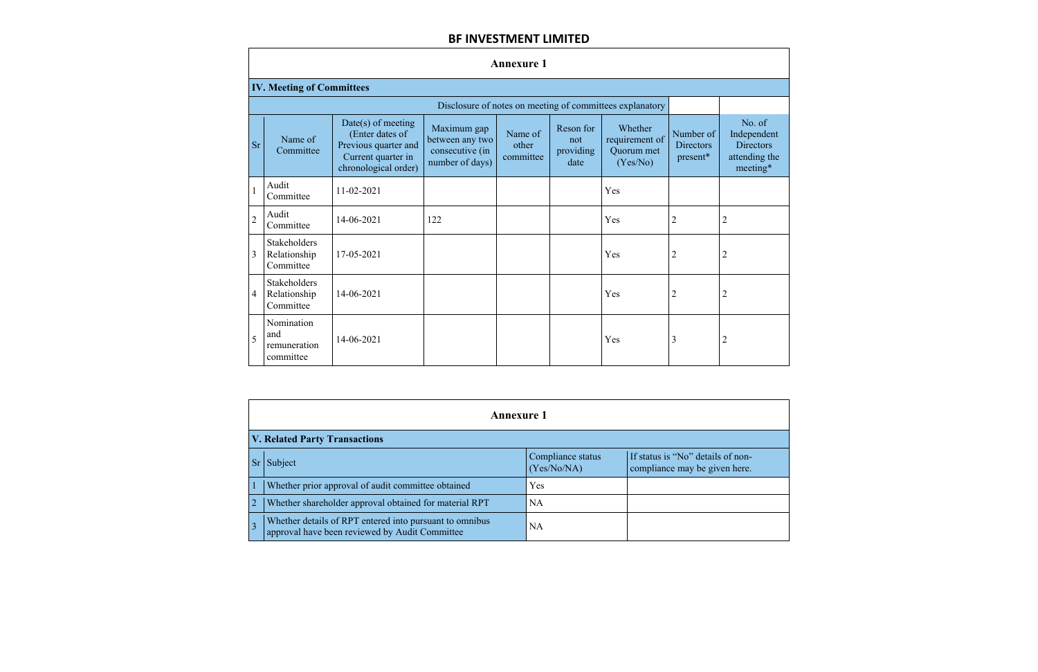|                | <b>Annexure 1</b>                                |                                                                                                               |                                                                      |                               |                                       |                                                          |                                    |                                                                      |  |  |  |  |
|----------------|--------------------------------------------------|---------------------------------------------------------------------------------------------------------------|----------------------------------------------------------------------|-------------------------------|---------------------------------------|----------------------------------------------------------|------------------------------------|----------------------------------------------------------------------|--|--|--|--|
|                | <b>IV. Meeting of Committees</b>                 |                                                                                                               |                                                                      |                               |                                       |                                                          |                                    |                                                                      |  |  |  |  |
|                |                                                  |                                                                                                               |                                                                      |                               |                                       | Disclosure of notes on meeting of committees explanatory |                                    |                                                                      |  |  |  |  |
| <b>Sr</b>      | Name of<br>Committee                             | $Date(s)$ of meeting<br>(Enter dates of<br>Previous quarter and<br>Current quarter in<br>chronological order) | Maximum gap<br>between any two<br>consecutive (in<br>number of days) | Name of<br>other<br>committee | Reson for<br>not<br>providing<br>date | Whether<br>requirement of<br>Quorum met<br>(Yes/No)      | Number of<br>Directors<br>present* | No. of<br>Independen<br><b>Directors</b><br>attending th<br>meeting* |  |  |  |  |
| $\overline{1}$ | Audit<br>Committee                               | 11-02-2021                                                                                                    |                                                                      |                               |                                       | Yes                                                      |                                    |                                                                      |  |  |  |  |
| $\overline{2}$ | Audit<br>Committee                               | 14-06-2021                                                                                                    | 122                                                                  |                               |                                       | Yes                                                      | $\overline{2}$                     | $\overline{2}$                                                       |  |  |  |  |
| 3              | Stakeholders<br>Relationship<br>Committee        | 17-05-2021                                                                                                    |                                                                      |                               |                                       | Yes                                                      | $\overline{2}$                     | $\overline{2}$                                                       |  |  |  |  |
| 4              | <b>Stakeholders</b><br>Relationship<br>Committee | 14-06-2021                                                                                                    |                                                                      |                               |                                       | Yes                                                      | $\overline{2}$                     | $\overline{2}$                                                       |  |  |  |  |
| 5              | Nomination<br>and<br>remuneration<br>committee   | 14-06-2021                                                                                                    |                                                                      |                               |                                       | Yes                                                      | 3                                  | $\overline{2}$                                                       |  |  |  |  |





|                 | <b>Annexure 1</b>                                                                                         |                                  |                                                                    |  |  |  |  |  |  |  |
|-----------------|-----------------------------------------------------------------------------------------------------------|----------------------------------|--------------------------------------------------------------------|--|--|--|--|--|--|--|
|                 | <b>V. Related Party Transactions</b>                                                                      |                                  |                                                                    |  |  |  |  |  |  |  |
| Sr <sub>1</sub> | Subject                                                                                                   | Compliance status<br>(Yes/No/NA) | If status is "No" details of non-<br>compliance may be given here. |  |  |  |  |  |  |  |
|                 | Whether prior approval of audit committee obtained                                                        | Yes                              |                                                                    |  |  |  |  |  |  |  |
|                 | Whether shareholder approval obtained for material RPT                                                    | <b>NA</b>                        |                                                                    |  |  |  |  |  |  |  |
|                 | Whether details of RPT entered into pursuant to omnibus<br>approval have been reviewed by Audit Committee | <b>NA</b>                        |                                                                    |  |  |  |  |  |  |  |